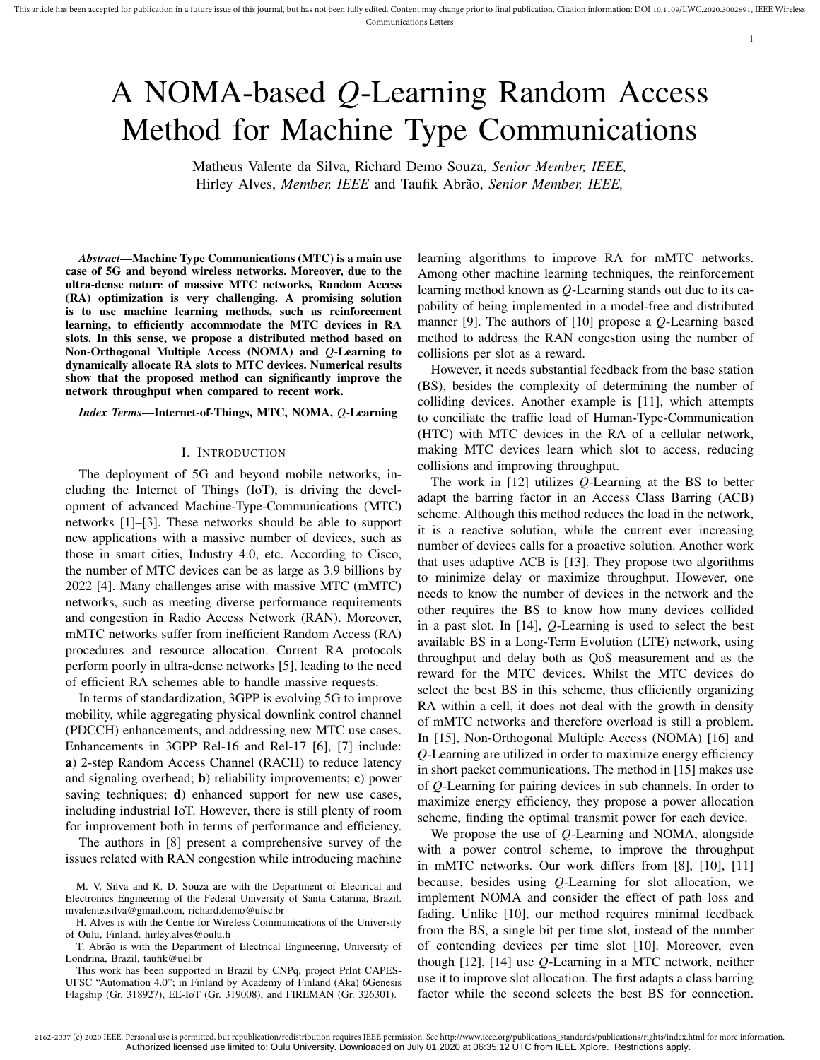# A NOMA-based *Q*-Learning Random Access Method for Machine Type Communications

Matheus Valente da Silva, Richard Demo Souza, *Senior Member, IEEE,* Hirley Alves, *Member, IEEE* and Taufik Abrão, *Senior Member, IEEE*,

*Abstract*—Machine Type Communications (MTC) is a main use case of 5G and beyond wireless networks. Moreover, due to the ultra-dense nature of massive MTC networks, Random Access (RA) optimization is very challenging. A promising solution is to use machine learning methods, such as reinforcement learning, to efficiently accommodate the MTC devices in RA slots. In this sense, we propose a distributed method based on Non-Orthogonal Multiple Access (NOMA) and *Q*-Learning to dynamically allocate RA slots to MTC devices. Numerical results show that the proposed method can significantly improve the network throughput when compared to recent work.

#### *Index Terms*—Internet-of-Things, MTC, NOMA, *Q*-Learning

## I. INTRODUCTION

The deployment of 5G and beyond mobile networks, including the Internet of Things (IoT), is driving the development of advanced Machine-Type-Communications (MTC) networks [1]–[3]. These networks should be able to support new applications with a massive number of devices, such as those in smart cities, Industry 4.0, etc. According to Cisco, the number of MTC devices can be as large as 3.9 billions by 2022 [4]. Many challenges arise with massive MTC (mMTC) networks, such as meeting diverse performance requirements and congestion in Radio Access Network (RAN). Moreover, mMTC networks suffer from inefficient Random Access (RA) procedures and resource allocation. Current RA protocols perform poorly in ultra-dense networks [5], leading to the need of efficient RA schemes able to handle massive requests.

In terms of standardization, 3GPP is evolving 5G to improve mobility, while aggregating physical downlink control channel (PDCCH) enhancements, and addressing new MTC use cases. Enhancements in 3GPP Rel-16 and Rel-17 [6], [7] include: a) 2-step Random Access Channel (RACH) to reduce latency and signaling overhead; b) reliability improvements; c) power saving techniques; **d**) enhanced support for new use cases, including industrial IoT. However, there is still plenty of room for improvement both in terms of performance and efficiency.

The authors in [8] present a comprehensive survey of the issues related with RAN congestion while introducing machine

M. V. Silva and R. D. Souza are with the Department of Electrical and Electronics Engineering of the Federal University of Santa Catarina, Brazil. mvalente.silva@gmail.com, richard.demo@ufsc.br

H. Alves is with the Centre for Wireless Communications of the University of Oulu, Finland. hirley.alves@oulu.fi

T. Abrão is with the Department of Electrical Engineering, University of Londrina, Brazil, taufik@uel.br

This work has been supported in Brazil by CNPq, project PrInt CAPES-UFSC "Automation 4.0"; in Finland by Academy of Finland (Aka) 6Genesis Flagship (Gr. 318927), EE-IoT (Gr. 319008), and FIREMAN (Gr. 326301).

learning algorithms to improve RA for mMTC networks. Among other machine learning techniques, the reinforcement learning method known as *Q*-Learning stands out due to its capability of being implemented in a model-free and distributed manner [9]. The authors of [10] propose a *Q*-Learning based method to address the RAN congestion using the number of collisions per slot as a reward.

1

However, it needs substantial feedback from the base station (BS), besides the complexity of determining the number of colliding devices. Another example is [11], which attempts to conciliate the traffic load of Human-Type-Communication (HTC) with MTC devices in the RA of a cellular network, making MTC devices learn which slot to access, reducing collisions and improving throughput.

The work in [12] utilizes *Q*-Learning at the BS to better adapt the barring factor in an Access Class Barring (ACB) scheme. Although this method reduces the load in the network, it is a reactive solution, while the current ever increasing number of devices calls for a proactive solution. Another work that uses adaptive ACB is [13]. They propose two algorithms to minimize delay or maximize throughput. However, one needs to know the number of devices in the network and the other requires the BS to know how many devices collided in a past slot. In [14], *Q*-Learning is used to select the best available BS in a Long-Term Evolution (LTE) network, using throughput and delay both as QoS measurement and as the reward for the MTC devices. Whilst the MTC devices do select the best BS in this scheme, thus efficiently organizing RA within a cell, it does not deal with the growth in density of mMTC networks and therefore overload is still a problem. In [15], Non-Orthogonal Multiple Access (NOMA) [16] and *Q*-Learning are utilized in order to maximize energy efficiency in short packet communications. The method in [15] makes use of *Q*-Learning for pairing devices in sub channels. In order to maximize energy efficiency, they propose a power allocation scheme, finding the optimal transmit power for each device.

We propose the use of *Q*-Learning and NOMA, alongside with a power control scheme, to improve the throughput in mMTC networks. Our work differs from [8], [10], [11] because, besides using *Q*-Learning for slot allocation, we implement NOMA and consider the effect of path loss and fading. Unlike [10], our method requires minimal feedback from the BS, a single bit per time slot, instead of the number of contending devices per time slot [10]. Moreover, even though [12], [14] use *Q*-Learning in a MTC network, neither use it to improve slot allocation. The first adapts a class barring factor while the second selects the best BS for connection.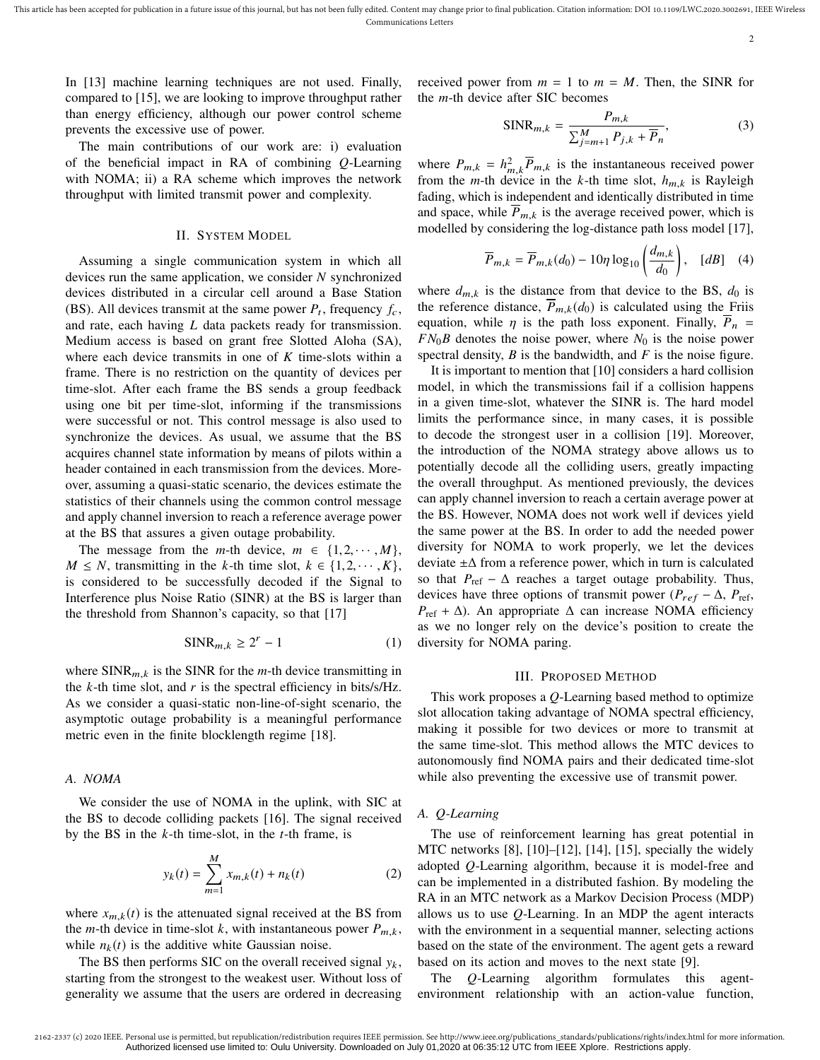This article has been accepted for publication in a future issue of this journal, but has not been fully edited. Content may change prior to final publication. Citation information: DOI 10.1109/LWC.2020.3002691, IEEE Wirel Communications Letters

2

In [13] machine learning techniques are not used. Finally, compared to [15], we are looking to improve throughput rather than energy efficiency, although our power control scheme prevents the excessive use of power.

The main contributions of our work are: i) evaluation of the beneficial impact in RA of combining *Q*-Learning with NOMA; ii) a RA scheme which improves the network throughput with limited transmit power and complexity.

## II. SYSTEM MODEL

Assuming a single communication system in which all devices run the same application, we consider *N* synchronized devices distributed in a circular cell around a Base Station (BS). All devices transmit at the same power  $P_t$ , frequency  $f_c$ , and rate, each having *L* data packets ready for transmission. Medium access is based on grant free Slotted Aloha (SA), where each device transmits in one of *K* time-slots within a frame. There is no restriction on the quantity of devices per time-slot. After each frame the BS sends a group feedback using one bit per time-slot, informing if the transmissions were successful or not. This control message is also used to synchronize the devices. As usual, we assume that the BS acquires channel state information by means of pilots within a header contained in each transmission from the devices. Moreover, assuming a quasi-static scenario, the devices estimate the statistics of their channels using the common control message and apply channel inversion to reach a reference average power at the BS that assures a given outage probability.

The message from the *m*-th device,  $m \in \{1, 2, \dots, M\}$ , *M* ≤ *N*, transmitting in the *k*-th time slot,  $k \in \{1, 2, \cdots, K\}$ , is considered to be successfully decoded if the Signal to Interference plus Noise Ratio (SINR) at the BS is larger than the threshold from Shannon's capacity, so that [17]

$$
SINR_{m,k} \ge 2^r - 1 \tag{1}
$$

where  $SINR_{m,k}$  is the SINR for the *m*-th device transmitting in the *k*-th time slot, and *r* is the spectral efficiency in bits/s/Hz. As we consider a quasi-static non-line-of-sight scenario, the asymptotic outage probability is a meaningful performance metric even in the finite blocklength regime [18].

#### *A. NOMA*

We consider the use of NOMA in the uplink, with SIC at the BS to decode colliding packets [16]. The signal received by the BS in the *k*-th time-slot, in the *t*-th frame, is

$$
y_k(t) = \sum_{m=1}^{M} x_{m,k}(t) + n_k(t)
$$
 (2)

where  $x_{m,k}(t)$  is the attenuated signal received at the BS from the *m*-th device in time-slot *k*, with instantaneous power  $P_{m,k}$ , while  $n_k(t)$  is the additive white Gaussian noise.

The BS then performs SIC on the overall received signal  $y_k$ , starting from the strongest to the weakest user. Without loss of generality we assume that the users are ordered in decreasing received power from  $m = 1$  to  $m = M$ . Then, the SINR for the *m*-th device after SIC becomes

$$
\text{SINR}_{m,k} = \frac{P_{m,k}}{\sum_{j=m+1}^{M} P_{j,k} + \overline{P}_n},\tag{3}
$$

where  $P_{m,k} = h_{m,k}^2 \overline{P}_{m,k}$  is the instantaneous received power<br>from the m<sub>p</sub> th doving in the k<sub>p</sub> th time elected by the Bouleigh from the *m*-th device in the *k*-th time slot,  $h_{m,k}$  is Rayleigh<br>feding which is independent and identically distributed in time fading, which is independent and identically distributed in time and space, while  $\overline{P}_{m,k}$  is the average received power, which is modelled by considering the log-distance path loss model [17],

$$
\overline{P}_{m,k} = \overline{P}_{m,k}(d_0) - 10\eta \log_{10} \left( \frac{d_{m,k}}{d_0} \right), \quad [dB] \quad (4)
$$

where  $d_{m,k}$  is the distance from that device to the BS,  $d_0$  is the reference distance,  $P_{m,k}(d_0)$  is calculated using the Friis equation, while  $\eta$  is the path loss exponent. Finally,  $\overline{P}_n$  =  $FN_0B$  denotes the noise power, where  $N_0$  is the noise power spectral density,  $B$  is the bandwidth, and  $F$  is the noise figure.

It is important to mention that [10] considers a hard collision model, in which the transmissions fail if a collision happens in a given time-slot, whatever the SINR is. The hard model limits the performance since, in many cases, it is possible to decode the strongest user in a collision [19]. Moreover, the introduction of the NOMA strategy above allows us to potentially decode all the colliding users, greatly impacting the overall throughput. As mentioned previously, the devices can apply channel inversion to reach a certain average power at the BS. However, NOMA does not work well if devices yield the same power at the BS. In order to add the needed power diversity for NOMA to work properly, we let the devices deviate  $±∆$  from a reference power, which in turn is calculated so that  $P_{ref} - \Delta$  reaches a target outage probability. Thus, devices have three options of transmit power ( $P_{ref} - \Delta$ ,  $P_{ref}$ , *P*ref + ∆). An appropriate ∆ can increase NOMA efficiency as we no longer rely on the device's position to create the diversity for NOMA paring.

## III. PROPOSED METHOD

This work proposes a *Q*-Learning based method to optimize slot allocation taking advantage of NOMA spectral efficiency, making it possible for two devices or more to transmit at the same time-slot. This method allows the MTC devices to autonomously find NOMA pairs and their dedicated time-slot while also preventing the excessive use of transmit power.

## *A. Q-Learning*

The use of reinforcement learning has great potential in MTC networks [8], [10]–[12], [14], [15], specially the widely adopted *Q*-Learning algorithm, because it is model-free and can be implemented in a distributed fashion. By modeling the RA in an MTC network as a Markov Decision Process (MDP) allows us to use *Q*-Learning. In an MDP the agent interacts with the environment in a sequential manner, selecting actions based on the state of the environment. The agent gets a reward based on its action and moves to the next state [9].

The *Q*-Learning algorithm formulates this agentenvironment relationship with an action-value function,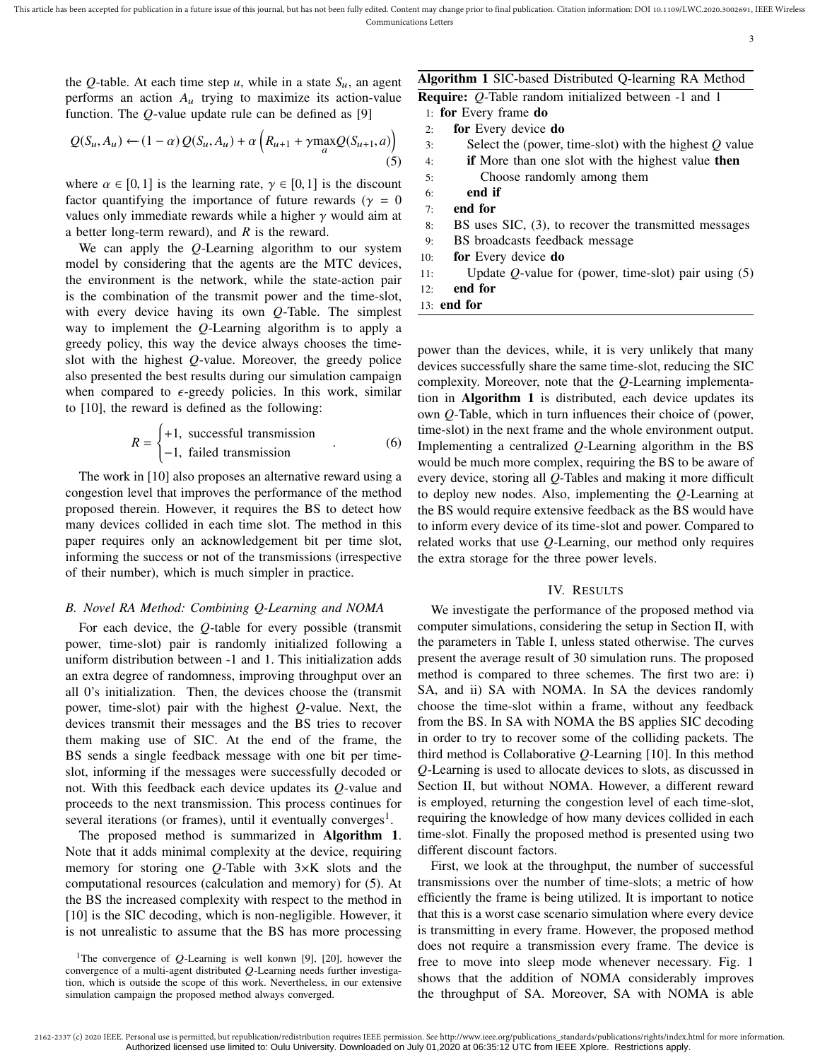3

the Q-table. At each time step  $u$ , while in a state  $S_u$ , an agent performs an action  $A_u$  trying to maximize its action-value function. The *Q*-value update rule can be defined as [9]

$$
Q(S_u, A_u) \leftarrow (1 - \alpha) Q(S_u, A_u) + \alpha \left( R_{u+1} + \gamma \max_a Q(S_{u+1}, a) \right) \tag{5}
$$

where  $\alpha \in [0, 1]$  is the learning rate,  $\gamma \in [0, 1]$  is the discount factor quantifying the importance of future rewards ( $\gamma = 0$ values only immediate rewards while a higher  $\gamma$  would aim at a better long-term reward), and *R* is the reward.

We can apply the *Q*-Learning algorithm to our system model by considering that the agents are the MTC devices, the environment is the network, while the state-action pair is the combination of the transmit power and the time-slot, with every device having its own *Q*-Table. The simplest way to implement the *Q*-Learning algorithm is to apply a greedy policy, this way the device always chooses the timeslot with the highest *Q*-value. Moreover, the greedy police also presented the best results during our simulation campaign when compared to  $\epsilon$ -greedy policies. In this work, similar to [10], the reward is defined as the following:

$$
R = \begin{cases} +1, \text{ successful transmission} \\ -1, \text{ failed transmission} \end{cases}
$$
 (6)

The work in [10] also proposes an alternative reward using a congestion level that improves the performance of the method proposed therein. However, it requires the BS to detect how many devices collided in each time slot. The method in this paper requires only an acknowledgement bit per time slot, informing the success or not of the transmissions (irrespective of their number), which is much simpler in practice.

## *B. Novel RA Method: Combining Q-Learning and NOMA*

For each device, the *Q*-table for every possible (transmit power, time-slot) pair is randomly initialized following a uniform distribution between -1 and 1. This initialization adds an extra degree of randomness, improving throughput over an all 0's initialization. Then, the devices choose the (transmit power, time-slot) pair with the highest *Q*-value. Next, the devices transmit their messages and the BS tries to recover them making use of SIC. At the end of the frame, the BS sends a single feedback message with one bit per timeslot, informing if the messages were successfully decoded or not. With this feedback each device updates its *Q*-value and proceeds to the next transmission. This process continues for several iterations (or frames), until it eventually converges<sup>1</sup>.

The proposed method is summarized in Algorithm 1. Note that it adds minimal complexity at the device, requiring memory for storing one *Q*-Table with 3×K slots and the computational resources (calculation and memory) for (5). At the BS the increased complexity with respect to the method in [10] is the SIC decoding, which is non-negligible. However, it is not unrealistic to assume that the BS has more processing

## Algorithm 1 SIC-based Distributed Q-learning RA Method

|  | <b>Require:</b> Q-Table random initialized between -1 and 1 |  |  |  |
|--|-------------------------------------------------------------|--|--|--|
|  |                                                             |  |  |  |

- 1: for Every frame do
- 2: for Every device do
- 3: Select the (power, time-slot) with the highest *Q* value
- 4: if More than one slot with the highest value then
- 5: Choose randomly among them
- 6: end if 7: end for
- 8: BS uses SIC, (3), to recover the transmitted messages
- 9: BS broadcasts feedback message
- 10: **for** Every device **do**
- 11: Update *Q*-value for (power, time-slot) pair using (5)
- 12: end for
- 13: end for

power than the devices, while, it is very unlikely that many devices successfully share the same time-slot, reducing the SIC complexity. Moreover, note that the *Q*-Learning implementation in Algorithm 1 is distributed, each device updates its own *Q*-Table, which in turn influences their choice of (power, time-slot) in the next frame and the whole environment output. Implementing a centralized *Q*-Learning algorithm in the BS would be much more complex, requiring the BS to be aware of every device, storing all *Q*-Tables and making it more difficult to deploy new nodes. Also, implementing the *Q*-Learning at the BS would require extensive feedback as the BS would have to inform every device of its time-slot and power. Compared to related works that use *Q*-Learning, our method only requires the extra storage for the three power levels.

## IV. RESULTS

We investigate the performance of the proposed method via computer simulations, considering the setup in Section II, with the parameters in Table I, unless stated otherwise. The curves present the average result of 30 simulation runs. The proposed method is compared to three schemes. The first two are: i) SA, and ii) SA with NOMA. In SA the devices randomly choose the time-slot within a frame, without any feedback from the BS. In SA with NOMA the BS applies SIC decoding in order to try to recover some of the colliding packets. The third method is Collaborative *Q*-Learning [10]. In this method *Q*-Learning is used to allocate devices to slots, as discussed in Section II, but without NOMA. However, a different reward is employed, returning the congestion level of each time-slot, requiring the knowledge of how many devices collided in each time-slot. Finally the proposed method is presented using two different discount factors.

First, we look at the throughput, the number of successful transmissions over the number of time-slots; a metric of how efficiently the frame is being utilized. It is important to notice that this is a worst case scenario simulation where every device is transmitting in every frame. However, the proposed method does not require a transmission every frame. The device is free to move into sleep mode whenever necessary. Fig. 1 shows that the addition of NOMA considerably improves the throughput of SA. Moreover, SA with NOMA is able

<sup>&</sup>lt;sup>1</sup>The convergence of  $Q$ -Learning is well konwn [9], [20], however the convergence of a multi-agent distributed Q-Learning needs further investigation, which is outside the scope of this work. Nevertheless, in our extensive simulation campaign the proposed method always converged.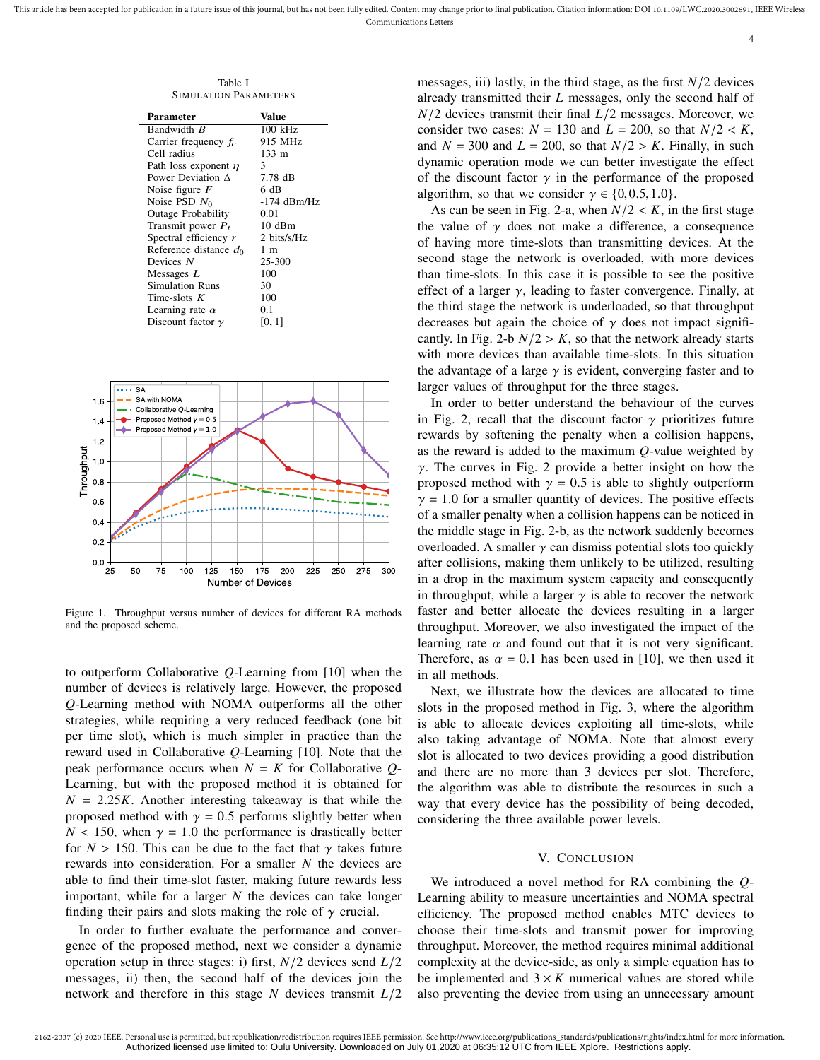4

Table I SIMULATION PARAMETERS

| Parameter                 | Value         |  |  |  |
|---------------------------|---------------|--|--|--|
| Bandwidth B               | 100 kHz       |  |  |  |
| Carrier frequency $f_c$   | 915 MHz       |  |  |  |
| Cell radius               | 133 m         |  |  |  |
| Path loss exponent $\eta$ | 3             |  |  |  |
| Power Deviation A         | 7.78 dB       |  |  |  |
| Noise figure $F$          | 6 dB          |  |  |  |
| Noise PSD $N_0$           | $-174$ dBm/Hz |  |  |  |
| Outage Probability        | 0.01          |  |  |  |
| Transmit power $P_t$      | 10dBm         |  |  |  |
| Spectral efficiency $r$   | 2 bits/s/Hz   |  |  |  |
| Reference distance do     | 1 m           |  |  |  |
| Devices N                 | 25-300        |  |  |  |
| Messages $L$              | 100           |  |  |  |
| Simulation Runs           | 30            |  |  |  |
| Time-slots $K$            | 100           |  |  |  |
| Learning rate $\alpha$    | 0.1           |  |  |  |
| Discount factor $\gamma$  | [0, 1]        |  |  |  |



Figure 1. Throughput versus number of devices for different RA methods and the proposed scheme.

to outperform Collaborative *Q*-Learning from [10] when the number of devices is relatively large. However, the proposed *Q*-Learning method with NOMA outperforms all the other strategies, while requiring a very reduced feedback (one bit per time slot), which is much simpler in practice than the reward used in Collaborative *Q*-Learning [10]. Note that the peak performance occurs when  $N = K$  for Collaborative  $Q$ -Learning, but with the proposed method it is obtained for  $N = 2.25K$ . Another interesting takeaway is that while the proposed method with  $\gamma = 0.5$  performs slightly better when  $N < 150$ , when  $\gamma = 1.0$  the performance is drastically better for  $N > 150$ . This can be due to the fact that  $\gamma$  takes future rewards into consideration. For a smaller *N* the devices are able to find their time-slot faster, making future rewards less important, while for a larger *N* the devices can take longer finding their pairs and slots making the role of  $\gamma$  crucial.

In order to further evaluate the performance and convergence of the proposed method, next we consider a dynamic operation setup in three stages: i) first, *N*/2 devices send *L*/2 messages, ii) then, the second half of the devices join the network and therefore in this stage *N* devices transmit *L*/2 messages, iii) lastly, in the third stage, as the first  $N/2$  devices already transmitted their *L* messages, only the second half of *N*/2 devices transmit their final *L*/2 messages. Moreover, we consider two cases:  $N = 130$  and  $L = 200$ , so that  $N/2 < K$ , and  $N = 300$  and  $L = 200$ , so that  $N/2 > K$ . Finally, in such dynamic operation mode we can better investigate the effect of the discount factor  $\gamma$  in the performance of the proposed algorithm, so that we consider  $\gamma \in \{0, 0.5, 1.0\}$ .

As can be seen in Fig. 2-a, when  $N/2 < K$ , in the first stage the value of  $\gamma$  does not make a difference, a consequence of having more time-slots than transmitting devices. At the second stage the network is overloaded, with more devices than time-slots. In this case it is possible to see the positive effect of a larger  $\gamma$ , leading to faster convergence. Finally, at the third stage the network is underloaded, so that throughput decreases but again the choice of  $\gamma$  does not impact significantly. In Fig. 2-b  $N/2 > K$ , so that the network already starts with more devices than available time-slots. In this situation the advantage of a large  $\gamma$  is evident, converging faster and to larger values of throughput for the three stages.

In order to better understand the behaviour of the curves in Fig. 2, recall that the discount factor  $\gamma$  prioritizes future rewards by softening the penalty when a collision happens, as the reward is added to the maximum *Q*-value weighted by  $\gamma$ . The curves in Fig. 2 provide a better insight on how the proposed method with  $\gamma = 0.5$  is able to slightly outperform  $\gamma = 1.0$  for a smaller quantity of devices. The positive effects of a smaller penalty when a collision happens can be noticed in the middle stage in Fig. 2-b, as the network suddenly becomes overloaded. A smaller  $\gamma$  can dismiss potential slots too quickly after collisions, making them unlikely to be utilized, resulting in a drop in the maximum system capacity and consequently in throughput, while a larger  $\gamma$  is able to recover the network faster and better allocate the devices resulting in a larger throughput. Moreover, we also investigated the impact of the learning rate  $\alpha$  and found out that it is not very significant. Therefore, as  $\alpha = 0.1$  has been used in [10], we then used it in all methods.

Next, we illustrate how the devices are allocated to time slots in the proposed method in Fig. 3, where the algorithm is able to allocate devices exploiting all time-slots, while also taking advantage of NOMA. Note that almost every slot is allocated to two devices providing a good distribution and there are no more than 3 devices per slot. Therefore, the algorithm was able to distribute the resources in such a way that every device has the possibility of being decoded, considering the three available power levels.

#### V. CONCLUSION

We introduced a novel method for RA combining the *Q*-Learning ability to measure uncertainties and NOMA spectral efficiency. The proposed method enables MTC devices to choose their time-slots and transmit power for improving throughput. Moreover, the method requires minimal additional complexity at the device-side, as only a simple equation has to be implemented and  $3 \times K$  numerical values are stored while also preventing the device from using an unnecessary amount